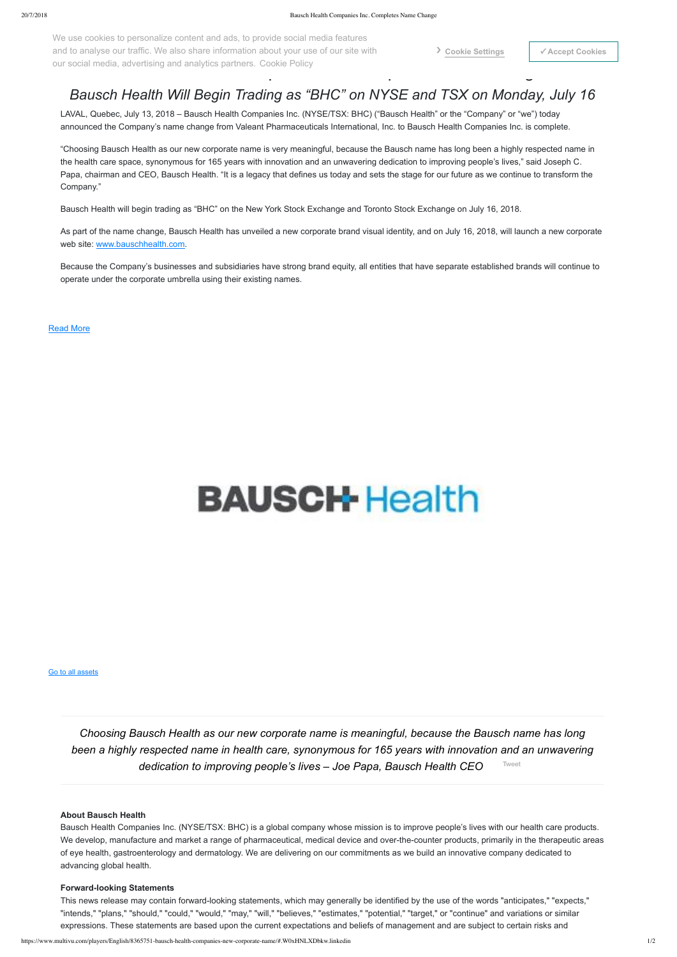## *Bausch Health Will Begin Trading as "BHC" on NYSE and TSX on Monday, July 16*

LAVAL, Quebec, July 13, 2018 – Bausch Health Companies Inc. (NYSE/TSX: BHC) ("Bausch Health" or the "Company" or "we") today announced the Company's name change from Valeant Pharmaceuticals International, Inc. to Bausch Health Companies Inc. is complete.

"Choosing Bausch Health as our new corporate name is very meaningful, because the Bausch name has long been a highly respected name in the health care space, synonymous for 165 years with innovation and an unwavering dedication to improving people's lives," said Joseph C. Papa, chairman and CEO, Bausch Health. "It is a legacy that defines us today and sets the stage for our future as we continue to transform the Company."

Bausch Health will begin trading as "BHC" on the New York Stock Exchange and Toronto Stock Exchange on July 16, 2018.

As part of the name change, Bausch Health has unveiled a new corporate brand visual identity, and on July 16, 2018, will launch a new corporate web site: [www.bauschhealth.com.](http://www.bauschhealth.com/)

This news release may contain forward-looking statements, which may generally be identified by the use of the words "anticipates," "expects," "intends," "plans," "should," "could," "would," "may," "will," "believes," "estimates," "potential," "target," or "continue" and variations or similar expressions. These statements are based upon the current expectations and beliefs of management and are subject to certain risks and

Because the Company's businesses and subsidiaries have strong brand equity, all entities that have separate established brands will continue to operate under the corporate umbrella using their existing names.

our social media, advertising and analytics partners. Cookie Policy<br>
The Change of the Change of the Change of the Change of the Change of the Change of the Change of the Change o We use cookies to personalize content and ads, to provide social media features and to analyse our traffic. We also share information about your use of our site with

### [Read More](#page-0-0)

# **BAUSCH-Health**

#### **About Bausch Health**

Bausch Health Companies Inc. (NYSE/TSX: BHC) is a global company whose mission is to improve people's lives with our health care products. We develop, manufacture and market a range of pharmaceutical, medical device and over-the-counter products, primarily in the therapeutic areas of eye health, gastroenterology and dermatology. We are delivering on our commitments as we build an innovative company dedicated to advancing global health.

#### **Forward-looking Statements**

<span id="page-0-0"></span>*Choosing Bausch Health as our new corporate name is meaningful, because the Bausch name has long been a highly respected name in health care, synonymous for 165 years with innovation and an unwavering dedication to improving people's lives – Joe Papa, Bausch Health CEO* [Tweet](https://twitter.com/intent/tweet?original_referer=https%3A%2F%2Fwww.multivu.com%2Fplayers%2FEnglish%2F8365751-bausch-health-companies-new-corporate-name%2F&ref_src=twsrc%5Etfw&text=Choosing%20Bausch%20Health%20as%20our%20new%20corporate%20name%20is%20meaningful%2C%20because%20the%20Bausch%20name%20has%20long%20been%20a%20highly%20respected%20name%20in%20health%20care%2C%20synonymous%20for%20165%20years%20with%20innovation%20and%20an%20unwavering%20dedication%20to%20improving%20people%E2%80%99s%20lives%20%E2%80%93%20Joe%20Papa%2C%20Bausch%20Health%20CEO&tw_p=tweetbutton&url=https%3A%2F%2Fwww.multivu.com%2Fplayers%2FEnglish%2F8365751-bausch-health-companies-new-corporate-name%2F)